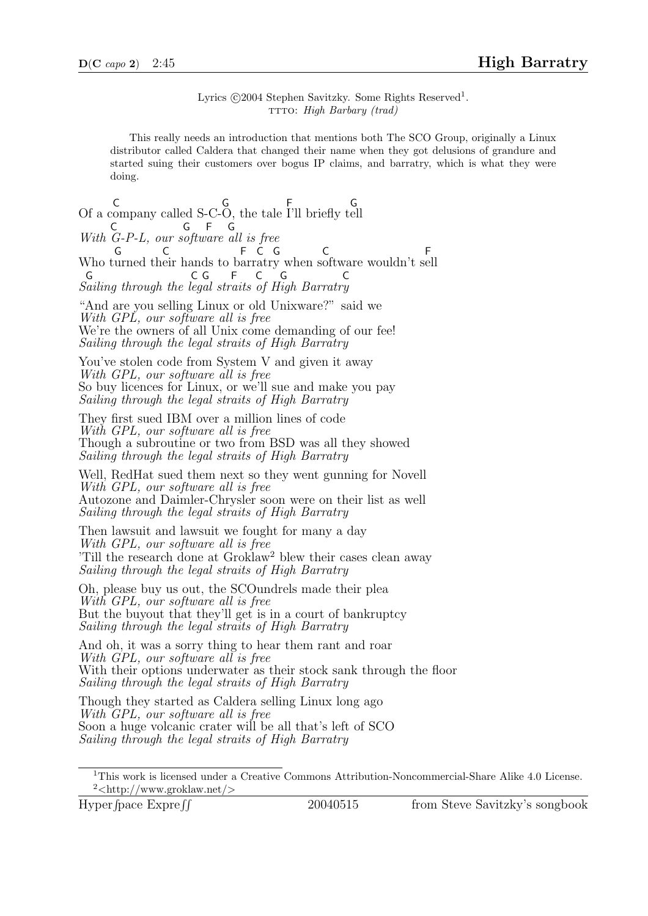Lyrics ©2004 Stephen Savitzky. Some Rights Reserved<sup>1</sup>. TTTO: High Barbary (trad)

This really needs an introduction that mentions both The SCO Group, originally a Linux distributor called Caldera that changed their name when they got delusions of grandure and started suing their customers over bogus IP claims, and barratry, which is what they were doing.

Of a c C ompany called S-C-G O, the tale F I'll briefly t G ell With C G-P-L, our s G oftw F are G all is free Who turned their hands to barratry when software wouldn't sell G C F C G C F Sailing through the legal straits of High Barratry G C G F C G C

"And are you selling Linux or old Unixware?" said we With GPL, our software all is free We're the owners of all Unix come demanding of our fee! Sailing through the legal straits of High Barratry

You've stolen code from System V and given it away With GPL, our software all is free So buy licences for Linux, or we'll sue and make you pay Sailing through the legal straits of High Barratry

They first sued IBM over a million lines of code With GPL, our software all is free Though a subroutine or two from BSD was all they showed Sailing through the legal straits of High Barratry

Well, RedHat sued them next so they went gunning for Novell With GPL, our software all is free Autozone and Daimler-Chrysler soon were on their list as well Sailing through the legal straits of High Barratry

Then lawsuit and lawsuit we fought for many a day With GPL, our software all is free 'Till the research done at Groklaw<sup>2</sup> blew their cases clean away Sailing through the legal straits of High Barratry

Oh, please buy us out, the SCOundrels made their plea With GPL, our software all is free But the buyout that they'll get is in a court of bankruptcy Sailing through the legal straits of High Barratry

And oh, it was a sorry thing to hear them rant and roar With GPL, our software all is free With their options underwater as their stock sank through the floor Sailing through the legal straits of High Barratry

Though they started as Caldera selling Linux long ago With GPL, our software all is free Soon a huge volcanic crater will be all that's left of SCO Sailing through the legal straits of High Barratry

Hyper fpace  $Expreff$ 

<sup>1</sup>This work is licensed under a Creative Commons Attribution-Noncommercial-Share Alike 4.0 License.  $2$  < http://www.groklaw.net/>